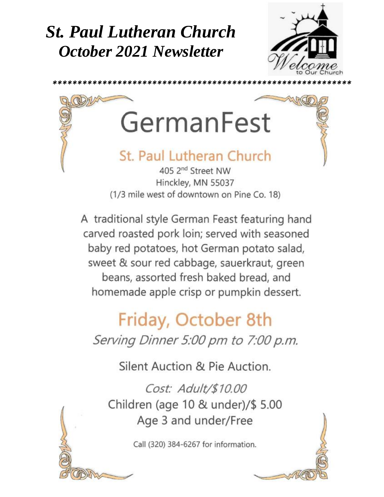## **St. Paul Lutheran Church October 2021 Newsletter**





A traditional style German Feast featuring hand carved roasted pork loin; served with seasoned baby red potatoes, hot German potato salad, sweet & sour red cabbage, sauerkraut, green beans, assorted fresh baked bread, and homemade apple crisp or pumpkin dessert.

# Friday, October 8th Serving Dinner 5:00 pm to 7:00 p.m.

Silent Auction & Pie Auction.

Cost: Adult/\$10.00 Children (age 10 & under)/\$ 5.00 Age 3 and under/Free

Call (320) 384-6267 for information.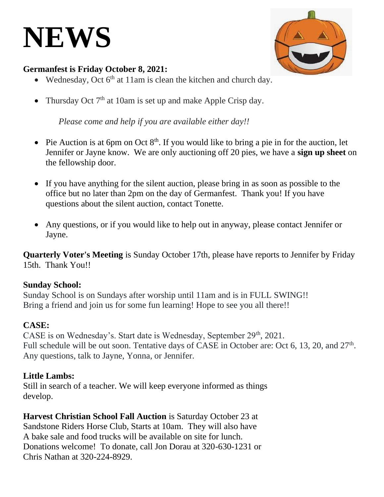# **NEWS**



### **Germanfest is Friday October 8, 2021:**

- Wednesday, Oct  $6<sup>th</sup>$  at 11am is clean the kitchen and church day.
- Thursday Oct  $7<sup>th</sup>$  at 10am is set up and make Apple Crisp day.

*Please come and help if you are available either day!!*

- • Pie Auction is at 6pm on Oct  $8<sup>th</sup>$ . If you would like to bring a pie in for the auction, let Jennifer or Jayne know. We are only auctioning off 20 pies, we have a **sign up sheet** on the fellowship door.
- If you have anything for the silent auction, please bring in as soon as possible to the office but no later than 2pm on the day of Germanfest. Thank you! If you have questions about the silent auction, contact Tonette.
- Any questions, or if you would like to help out in anyway, please contact Jennifer or Jayne.

**Quarterly Voter's Meeting** is Sunday October 17th, please have reports to Jennifer by Friday 15th. Thank You!!

### **Sunday School:**

Sunday School is on Sundays after worship until 11am and is in FULL SWING!! Bring a friend and join us for some fun learning! Hope to see you all there!!

## **CASE:**

CASE is on Wednesday's. Start date is Wednesday, September 29th, 2021. Full schedule will be out soon. Tentative days of CASE in October are: Oct 6, 13, 20, and 27<sup>th</sup>. Any questions, talk to Jayne, Yonna, or Jennifer.

### **Little Lambs:**

Still in search of a teacher. We will keep everyone informed as things develop.

**Harvest Christian School Fall Auction** is Saturday October 23 at Sandstone Riders Horse Club, Starts at 10am. They will also have A bake sale and food trucks will be available on site for lunch. Donations welcome! To donate, call Jon Dorau at 320-630-1231 or Chris Nathan at 320-224-8929.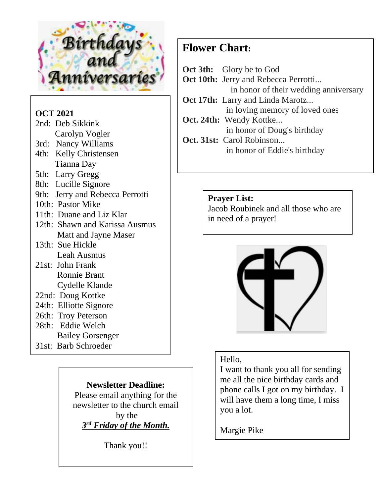

## **OCT 2021**

| 2nd: Deb Sikkink                |
|---------------------------------|
| Carolyn Vogler                  |
| 3rd: Nancy Williams             |
| 4th: Kelly Christensen          |
| Tianna Day                      |
| 5th: Larry Gregg                |
| 8th: Lucille Signore            |
| 9th: Jerry and Rebecca Perrotti |
| 10th: Pastor Mike               |
| 11th: Duane and Liz Klar        |
| 12th: Shawn and Karissa Ausmus  |
| <b>Matt and Jayne Maser</b>     |
| 13th: Sue Hickle                |
| Leah Ausmus                     |
| 21st: John Frank                |
| <b>Ronnie Brant</b>             |
| Cydelle Klande                  |
| 22nd: Doug Kottke               |
| 24th: Elliotte Signore          |
| 26th: Troy Peterson             |
| 28th: Eddie Welch               |
| <b>Bailey Gorsenger</b>         |

31st: Barb Schroeder

*Newsletter Deadline:* **Please email anything for the** newsletter to the church email by the *3 rd Friday of the Month.*

Thank you!!

## **Flower Chart:**

| <b>Oct 3th:</b> Glory be to God             |
|---------------------------------------------|
| <b>Oct 10th:</b> Jerry and Rebecca Perrotti |
| in honor of their wedding anniversary       |
| <b>Oct 17th:</b> Larry and Linda Marotz     |
| in loving memory of loved ones              |
| Oct. 24th: Wendy Kottke                     |
| in honor of Doug's birthday                 |
| Oct. 31st: Carol Robinson                   |
| in honor of Eddie's birthday                |
|                                             |

#### **Prayer List:**

Jacob Roubinek and all those who are in need of a prayer!



### Hello,

I want to thank you all for sending me all the nice birthday cards and phone calls I got on my birthday. I will have them a long time, I miss you a lot.

Margie Pike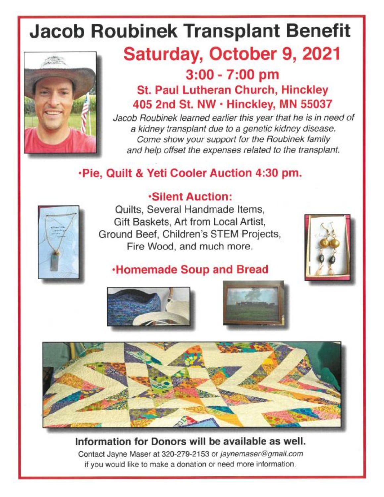# **Jacob Roubinek Transplant Benefit**



## Saturday, October 9, 2021  $3:00 - 7:00$  pm

**St. Paul Lutheran Church, Hinckley** 405 2nd St. NW · Hinckley, MN 55037

Jacob Roubinek learned earlier this year that he is in need of a kidney transplant due to a genetic kidney disease. Come show your support for the Roubinek family and help offset the expenses related to the transplant.

## .Pie, Quilt & Yeti Cooler Auction 4:30 pm.



## **Silent Auction:**

Quilts, Several Handmade Items, Gift Baskets, Art from Local Artist, Ground Beef, Children's STEM Projects, Fire Wood, and much more.



## **Homemade Soup and Bread**







Information for Donors will be available as well. Contact Jayne Maser at 320-279-2153 or jaynemaser@gmail.com if you would like to make a donation or need more information.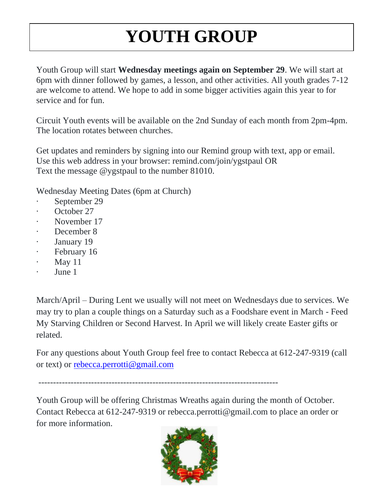# **YOUTH GROUP**

Youth Group will start **Wednesday meetings again on September 29**. We will start at 6pm with dinner followed by games, a lesson, and other activities. All youth grades 7-12 are welcome to attend. We hope to add in some bigger activities again this year to for service and for fun.

Circuit Youth events will be available on the 2nd Sunday of each month from 2pm-4pm. The location rotates between churches.

Get updates and reminders by signing into our Remind group with text, app or email. Use this web address in your browser: remind.com/join/ygstpaul OR Text the message @ygstpaul to the number 81010.

Wednesday Meeting Dates (6pm at Church)

- September 29
- October 27
- November 17
- December 8
- January 19
- February 16
- · May 11
- June 1

March/April – During Lent we usually will not meet on Wednesdays due to services. We may try to plan a couple things on a Saturday such as a Foodshare event in March - Feed My Starving Children or Second Harvest. In April we will likely create Easter gifts or related.

For any questions about Youth Group feel free to contact Rebecca at 612-247-9319 (call or text) or [rebecca.perrotti@gmail.com](mailto:rebecca.perrotti@gmail.com)

----------------------------------------------------------------------------------

Youth Group will be offering Christmas Wreaths again during the month of October. Contact Rebecca at 612-247-9319 or rebecca.perrotti@gmail.com to place an order or for more information.

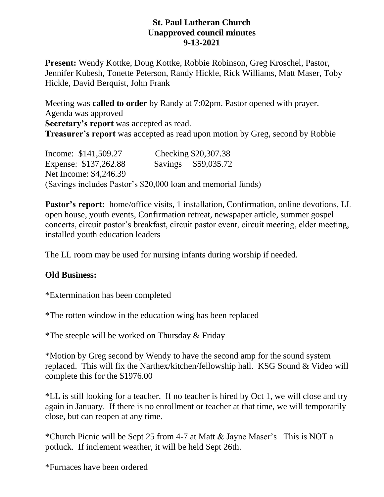#### **St. Paul Lutheran Church Unapproved council minutes 9-13-2021**

**Present:** Wendy Kottke, Doug Kottke, Robbie Robinson, Greg Kroschel, Pastor, Jennifer Kubesh, Tonette Peterson, Randy Hickle, Rick Williams, Matt Maser, Toby Hickle, David Berquist, John Frank

Meeting was **called to order** by Randy at 7:02pm. Pastor opened with prayer. Agenda was approved **Secretary's report** was accepted as read. **Treasurer's report** was accepted as read upon motion by Greg, second by Robbie

Income: \$141,509.27 Checking \$20,307.38 Expense: \$137,262.88 Savings \$59,035.72 Net Income: \$4,246.39 (Savings includes Pastor's \$20,000 loan and memorial funds)

**Pastor's report:** home/office visits, 1 installation, Confirmation, online devotions, LL open house, youth events, Confirmation retreat, newspaper article, summer gospel concerts, circuit pastor's breakfast, circuit pastor event, circuit meeting, elder meeting, installed youth education leaders

The LL room may be used for nursing infants during worship if needed.

### **Old Business:**

\*Extermination has been completed

\*The rotten window in the education wing has been replaced

\*The steeple will be worked on Thursday & Friday

\*Motion by Greg second by Wendy to have the second amp for the sound system replaced. This will fix the Narthex/kitchen/fellowship hall. KSG Sound & Video will complete this for the \$1976.00

\*LL is still looking for a teacher. If no teacher is hired by Oct 1, we will close and try again in January. If there is no enrollment or teacher at that time, we will temporarily close, but can reopen at any time.

\*Church Picnic will be Sept 25 from 4-7 at Matt & Jayne Maser's This is NOT a potluck. If inclement weather, it will be held Sept 26th.

\*Furnaces have been ordered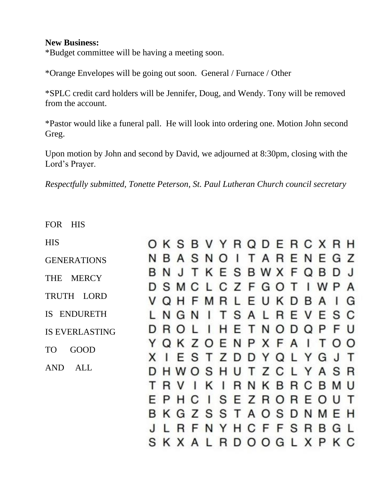#### **New Business:**

\*Budget committee will be having a meeting soon.

\*Orange Envelopes will be going out soon. General / Furnace / Other

\*SPLC credit card holders will be Jennifer, Doug, and Wendy. Tony will be removed from the account.

\*Pastor would like a funeral pall. He will look into ordering one. Motion John second Greg.

Upon motion by John and second by David, we adjourned at 8:30pm, closing with the Lord's Prayer.

*Respectfully submitted, Tonette Peterson, St. Paul Lutheran Church council secretary*

FOR HIS

| <b>HIS</b>                 |  |      |  |  | OKSBVYRQDERCXRH               |  |  |  |
|----------------------------|--|------|--|--|-------------------------------|--|--|--|
| <b>GENERATIONS</b>         |  |      |  |  | N B A S N O I T A R E N E G Z |  |  |  |
| <b>MERCY</b><br><b>THE</b> |  |      |  |  | B N J T K E S B W X F Q B D J |  |  |  |
|                            |  |      |  |  | D S M C L C Z F G O T I W P A |  |  |  |
| TRUTH LORD                 |  |      |  |  | V Q H F M R L E U K D B A I G |  |  |  |
| IS ENDURETH                |  |      |  |  | NGNITSALREVESC                |  |  |  |
| <b>IS EVERLASTING</b>      |  |      |  |  | D R O L I H E T N O D Q P F U |  |  |  |
| <b>GOOD</b><br><b>TO</b>   |  |      |  |  | Y Q K Z O E N P X F A I T O O |  |  |  |
|                            |  |      |  |  | X I E S T Z D D Y Q L Y G J T |  |  |  |
| <b>AND</b><br>ALL          |  |      |  |  | D H W O S H U T Z C L Y A S R |  |  |  |
|                            |  | TRVI |  |  | KIRNKBRCBMU                   |  |  |  |
|                            |  |      |  |  | E P H C I S E Z R O R E O U T |  |  |  |
|                            |  |      |  |  | B K G Z S S T A O S D N M E H |  |  |  |
|                            |  |      |  |  | LRFNYHCFFSRBGL                |  |  |  |
|                            |  |      |  |  | S K X A L R D O O G L X P K C |  |  |  |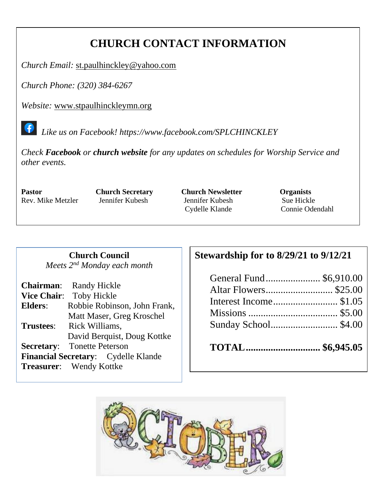## **CHURCH CONTACT INFORMATION**

*Church Email:* [st.paulhinckley@yahoo.com](mailto:st.paulhinckley@yahoo.com)

*Church Phone: (320) 384-6267*

*Website:* [www.stpaulhinckleymn.org](http://www.stpaulhinckleymn.org/)

 *Like us on Facebook!<https://www.facebook.com/SPLCHINCKLEY>*

*Check Facebook or church website for any updates on schedules for Worship Service and other events.* 

**Pastor Church Secretary Church Newsletter Organists** Rev. Mike Metzler Jennifer Kubesh Jennifer Kubesh Sue Hickle

Cydelle Klande Connie Odendahl

#### **Church Council** *Meets 2nd Monday each month*

|                  | <b>Chairman:</b> Randy Hickle       |
|------------------|-------------------------------------|
|                  | Vice Chair: Toby Hickle             |
| Elders:          | Robbie Robinson, John Frank,        |
|                  | Matt Maser, Greg Kroschel           |
| <b>Trustees:</b> | Rick Williams,                      |
|                  | David Berquist, Doug Kottke         |
|                  | <b>Secretary:</b> Tonette Peterson  |
|                  | Financial Secretary: Cydelle Klande |
|                  | <b>Treasurer:</b> Wendy Kottke      |

## **Stewardship for to 8/29/21 to 9/12/21**

| General Fund \$6,910.00 |  |
|-------------------------|--|
|                         |  |
|                         |  |
|                         |  |
|                         |  |
|                         |  |

| TOTAL  \$6,945.05 |  |
|-------------------|--|
|-------------------|--|

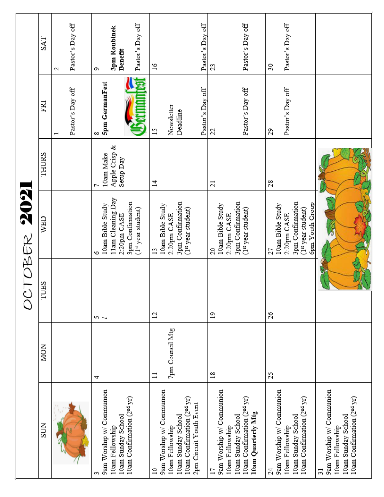|            | <b>SAT</b>  | Pastor's Day off<br>2                        | Pastor's Day off<br>3pm Roubinek<br>Benefit<br>c                                                            | Pastor's Day off<br>26                                                                                                                  | Pastor's Day off<br>23                                                                                                            | Pastor's Day off<br>$\boldsymbol{S}$                                                                              |                                                                                                                    |
|------------|-------------|----------------------------------------------|-------------------------------------------------------------------------------------------------------------|-----------------------------------------------------------------------------------------------------------------------------------------|-----------------------------------------------------------------------------------------------------------------------------------|-------------------------------------------------------------------------------------------------------------------|--------------------------------------------------------------------------------------------------------------------|
|            | FRI         | Pastor's Day off<br>$\overline{\phantom{0}}$ | 5pm GermanFest<br>8                                                                                         | Pastor's Day off<br>Newsletter<br>Deadline<br>15                                                                                        | Pastor's Day off<br>22                                                                                                            | Pastor's Day off<br>29                                                                                            |                                                                                                                    |
|            | THURS       |                                              | Apple Crisp &<br>10am Make<br>Setup Day                                                                     | $\Xi$                                                                                                                                   | $\overline{c}$                                                                                                                    | 28                                                                                                                |                                                                                                                    |
| TOBER 2021 | WED         |                                              | 11am Cleaning Day<br>3pm Confirmation<br>10am Bible Study<br>(1st year student)<br>2:20pm CASE              | 3pm Confirmation<br>10am Bible Study<br>(1st year student)<br>2:20pm CASE<br>$\mathbf{1}^{\circ}$                                       | 3pm Confirmation<br>10am Bible Study<br>(1st year student)<br>2:20pm CASE<br>20                                                   | 3pm Confirmation<br>6pm Youth Group<br>10am Bible Study<br>(1st year student)<br>2:20pm CASE<br>27                |                                                                                                                    |
|            | <b>TUES</b> |                                              | ے ص                                                                                                         | $\mathfrak{u}$                                                                                                                          | $\overline{1}$                                                                                                                    | 26                                                                                                                |                                                                                                                    |
|            | <b>MON</b>  |                                              | 4                                                                                                           | 7pm Council Mtg<br>$\Xi$                                                                                                                | $\frac{8}{18}$                                                                                                                    | 25                                                                                                                |                                                                                                                    |
|            | <b>SUN</b>  |                                              | 9am Worship w/ Communion<br>10am Confirmation (2 <sup>nd</sup> yr)<br>10am Sunday School<br>10am Fellowship | 9am Worship w/ Communion<br>10am Confirmation (2nd yr)<br>2pm Circuit Youth Event<br>10am Sunday School<br>10am Fellowship<br>$\approx$ | 9am Worship w/ Communion<br>10am Confirmation (2 <sup>nd</sup> yr)<br>10am Quarterly Mtg<br>10am Sunday School<br>10am Fellowship | 9am Worship w/ Communion<br>10am Confirmation (2 <sup>nd</sup> yr)<br>10am Sunday School<br>10am Fellowship<br>24 | 9am Worship w/ Communion<br>10am Confirmation (2nd yr)<br>10am Sunday School<br>10am Fellowship<br>$\overline{31}$ |